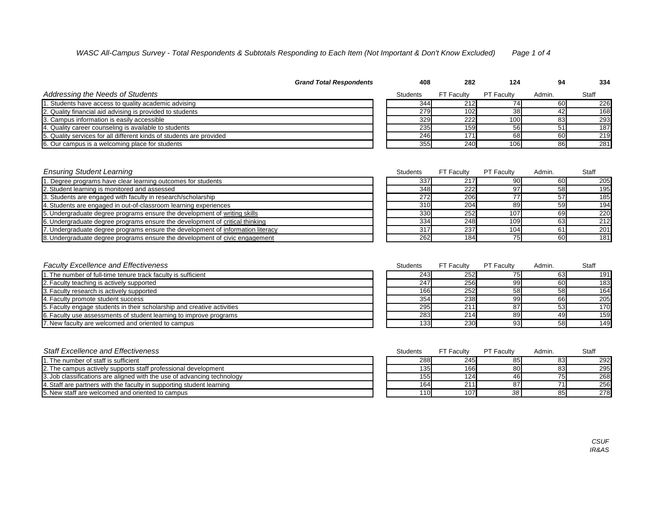|                                                                      | <b>Grand Total Respondents</b> | 408             | 282               | 124               | 94     | 334   |
|----------------------------------------------------------------------|--------------------------------|-----------------|-------------------|-------------------|--------|-------|
| <b>Addressing the Needs of Students</b>                              |                                | <b>Students</b> | <b>FT Faculty</b> | <b>PT Faculty</b> | Admin. | Staff |
| 1. Students have access to quality academic advising                 |                                | 344             | 212               |                   | 60     | 226   |
| 2. Quality financial aid advising is provided to students            |                                | 279             | 102               | 38                |        | 168   |
| 3. Campus information is easily accessible                           |                                | 329             | 222               | 100               |        | 293   |
| 4. Quality career counseling is available to students                |                                | 235             | 159               | <b>56</b>         | 51     | 187   |
| 5. Quality services for all different kinds of students are provided |                                | 246             | 171 <sub>h</sub>  | 68                | 60     | 219   |
| 6. Our campus is a welcoming place for students                      |                                | 355             | 240               | 106               | 86     | 281   |
|                                                                      |                                |                 |                   |                   |        |       |

| <b>Ensuring Student Learning</b>                                               | <b>Students</b> | <b>FT Faculty</b> | <b>PT Faculty</b> | Admin. | <b>Staff</b> |
|--------------------------------------------------------------------------------|-----------------|-------------------|-------------------|--------|--------------|
| . Degree programs have clear learning outcomes for students                    | 337             | 217               | 90                | 60     | 205          |
| 2. Student learning is monitored and assessed                                  | 348             | 222               | 97                | 58     | 195          |
| 3. Students are engaged with faculty in research/scholarship                   | 272             | 206               | 77                | 57     | 185          |
| 4. Students are engaged in out-of-classroom learning experiences               | 310             | 204               | 89                | 59     | 194          |
| 5. Undergraduate degree programs ensure the development of writing skills      | 330             | 252               | 107               | 69     | 220          |
| 6. Undergraduate degree programs ensure the development of critical thinking   | 334             | 248               | 109               | 63     | 212          |
| . Undergraduate degree programs ensure the development of information literacy | 317             | 237               | 104               |        | 201          |
| 8. Undergraduate degree programs ensure the development of civic engagement    | <b>262</b>      | 184               | 75                | 60     | 181          |

| <b>Faculty Excellence and Effectiveness</b>                             | <b>Students</b>  | <b>FT Faculty</b> | <b>PT Faculty</b> | Admin. | <b>Staff</b> |
|-------------------------------------------------------------------------|------------------|-------------------|-------------------|--------|--------------|
| 1. The number of full-time tenure track faculty is sufficient           | 243              | 252               | 75 <sub>h</sub>   | 63     | 191          |
| 2. Faculty teaching is actively supported                               | 247              | <b>256</b>        | -99               | 60     | 183          |
| 3. Faculty research is actively supported                               | 166              | 252               | 58                | 58     | 164          |
| 4. Faculty promote student success                                      | 354              | 238               | 99 <sub>l</sub>   | 66     | 205          |
| 5. Faculty engage students in their scholarship and creative activities | 295              | 211               | 87                | 53     | 170          |
| 6. Faculty use assessments of student learning to improve programs      | 283              | 214               | 89                | 49     | 159          |
| 7. New faculty are welcomed and oriented to campus                      | 133 <sub>l</sub> | 230               | 93                | 58     | 149          |

| <b>Staff Excellence and Effectiveness</b>                               | <b>Students</b>  | <b>FT Faculty</b> | <b>PT Faculty</b> | Admin.    | <b>Staff</b> |
|-------------------------------------------------------------------------|------------------|-------------------|-------------------|-----------|--------------|
| 1. The number of staff is sufficient                                    | 288              | 245               | 85                | 83        | 292          |
| 2. The campus actively supports staff professional development          | 135 <sub>1</sub> | 166               | 80                | 83        | 295          |
| 3. Job classifications are aligned with the use of advancing technology | 155              | 124               | 46                | <b>75</b> | 268          |
| 4. Staff are partners with the faculty in supporting student learning   | 1641             | 211               | 87                |           | 256          |
| 5. New staff are welcomed and oriented to campus                        | 110 <sub>1</sub> | 107               | 38 <sup>°</sup>   | 85        | 278          |

*CSUF IR&AS*

# *WASC All-Campus Survey - Total Respondents & Subtotals Responding to Each Item (Not Important & Don't Know Excluded) Page 1 of 4*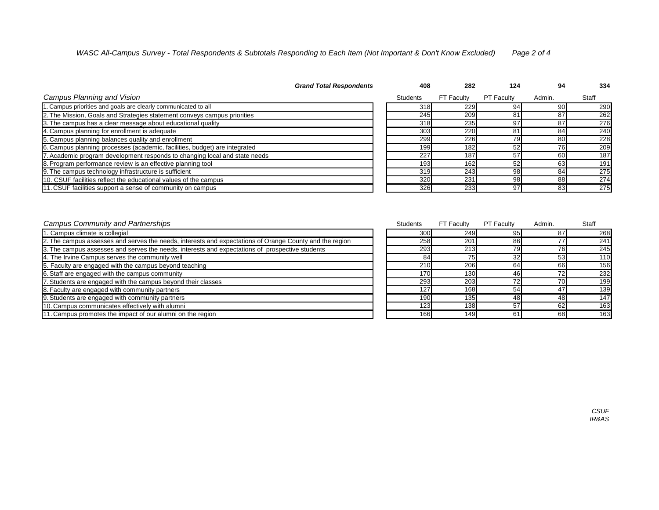| <b>Campus Planning and Vision</b>                                          | <b>Students</b> | FT Faculty | <b>PT Faculty</b> | Admin. | <b>Staff</b> |
|----------------------------------------------------------------------------|-----------------|------------|-------------------|--------|--------------|
| 1. Campus priorities and goals are clearly communicated to all             | 318             | 229        |                   | 90     | 290          |
| 2. The Mission, Goals and Strategies statement conveys campus priorities   | 245             | 209        |                   | 87     | 262          |
| 3. The campus has a clear message about educational quality                | 318             | 235        | 97                | 87     | 276          |
| 4. Campus planning for enrollment is adequate                              | 303             | 220        |                   | 84     | 240          |
| 5. Campus planning balances quality and enrollment                         | 299             | 226        |                   | 80     | 228          |
| 6. Campus planning processes (academic, facilities, budget) are integrated | 199             | 182        | 52                | 76     | 209          |
| 7. Academic program development responds to changing local and state needs | 227             | 187        | 57                | 60     | 187          |
| 8. Program performance review is an effective planning tool                | 193             | 162        | 52                | 63     | 191          |
| 9. The campus technology infrastructure is sufficient                      | 319             | 243        | 98                | 84     | 275          |
| 10. CSUF facilities reflect the educational values of the campus           | 320             | 231        | 98                | 88     | 274          |
| 11. CSUF facilities support a sense of community on campus                 | 326             | 233        | 97                | 83     | 275          |

| <b>Campus Community and Partnerships</b>                                                                | <b>Students</b> | FT Faculty   | <b>PT Faculty</b> | Admin. | <b>Staff</b> |
|---------------------------------------------------------------------------------------------------------|-----------------|--------------|-------------------|--------|--------------|
| 1. Campus climate is collegial                                                                          | 300             | 249 <b>1</b> | 95                | 87     | 268          |
| 2. The campus assesses and serves the needs, interests and expectations of Orange County and the region | 258             | 201          | 86                |        | 241          |
| 3. The campus assesses and serves the needs, interests and expectations of prospective students         | 293             | 213          | 79                |        | 245          |
| 4. The Irvine Campus serves the community well                                                          | 84              |              | 32                | 53     | 110          |
| 5. Faculty are engaged with the campus beyond teaching                                                  | 210             | 206          | 64                | 66     | 156          |
| 6. Staff are engaged with the campus community                                                          | 170             | 130          | 46                |        | 232          |
| 7. Students are engaged with the campus beyond their classes                                            | 293             | 203          |                   | 70     | 199          |
| 8. Faculty are engaged with community partners                                                          | 127             | 168          | 54                | 47     | 139          |
| 9. Students are engaged with community partners                                                         | 190             | 135          | 48                | 48     | 147          |
| 10. Campus communicates effectively with alumni                                                         | 123             | 138          | 57                | 62     | 163          |
| 11. Campus promotes the impact of our alumni on the region                                              | 166             | 149          | 61                | 68     | 163          |

| 124               | 94              | 334          |
|-------------------|-----------------|--------------|
| <b>PT Faculty</b> | Admin.          | <b>Staff</b> |
| 94                | 90              | 290          |
| 81                | 87              | 262          |
| 97                | 87              | 276          |
| 81                | 84              | 240          |
| 79                | 80              | 228          |
| 52                | $\overline{76}$ | 209          |
| 57                | 60              | 187          |
| 52                | 63              | 191          |
| $\overline{98}$   | 84              | 275          |
| 98                | 88              | 274          |
| 97                | 83              | 275          |

*CSUF IR&AS*

## *WASC All-Campus Survey - Total Respondents & Subtotals Responding to Each Item (Not Important & Don't Know Excluded) Page 2 of 4*

### *Grand Total Respondents* **108 282**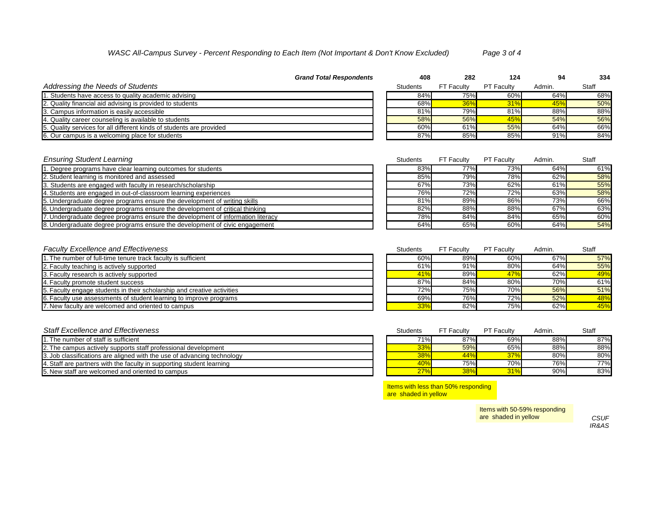|                                                                      | <b>Grand Total Respondents</b> | 408             | 282               | 124               | 94     | 334          |
|----------------------------------------------------------------------|--------------------------------|-----------------|-------------------|-------------------|--------|--------------|
| <b>Addressing the Needs of Students</b>                              |                                | <b>Students</b> | <b>FT Faculty</b> | <b>PT Faculty</b> | Admin. | <b>Staff</b> |
| 1. Students have access to quality academic advising                 |                                | 84%             | 75%               | 60%               | 64%    | 68%          |
| 2. Quality financial aid advising is provided to students            |                                | 68%             | 36%               | 31%               | 45%    | 50%          |
| 3. Campus information is easily accessible                           |                                | 81%             | 79%               | 81%               | 88%    | 88%          |
| 4. Quality career counseling is available to students                |                                | 58%             | 56%               | <b>45%</b>        | 54%    | 56%          |
| 5. Quality services for all different kinds of students are provided |                                | 60%             | 61%               | 55%               | 64%    | 66%          |
| 6. Our campus is a welcoming place for students                      |                                | 87%             | 85%               | 85%               | 91%    | 84%          |
|                                                                      |                                |                 |                   |                   |        |              |

| <b>Ensuring Student Learning</b>                                                | <b>Students</b> | <b>FT Faculty</b> | <b>PT Faculty</b> | Admin. | <b>Staff</b> |
|---------------------------------------------------------------------------------|-----------------|-------------------|-------------------|--------|--------------|
| 1. Degree programs have clear learning outcomes for students                    | 83%             | 77%               | 73%               | 64%    | 61%          |
| 2. Student learning is monitored and assessed                                   | 85%             | 79%               | 78%               | 62%    | 58%          |
| 3. Students are engaged with faculty in research/scholarship                    | 67%             | 73%               | 62%               | 61%    | 55%          |
| 4. Students are engaged in out-of-classroom learning experiences                | 76%             | 72%               | 72%               | 63%    | 58%          |
| 5. Undergraduate degree programs ensure the development of writing skills       | 81%             | 89%               | 86%               | 73%    | 66%          |
| 6. Undergraduate degree programs ensure the development of critical thinking    | 82%             | 88%               | 88%               | 67%    | 63%          |
| 7. Undergraduate degree programs ensure the development of information literacy | 78%             | 84%               | 84%               | 65%    | 60%          |
| 8. Undergraduate degree programs ensure the development of civic engagement     | 64%             | 65%               | 60%               | 64%    | 54%          |

# **Faculty Excellence and Effectiveness** Students FT Faculty **Faculty** Students FT Faculty

| 1. The number of full-time tenure track faculty is sufficient           | 60% | 89% | 60%        | 67% | 57% |
|-------------------------------------------------------------------------|-----|-----|------------|-----|-----|
| 2. Faculty teaching is actively supported                               | 61% | 91% | 80%        | 64% | 55% |
| 3. Faculty research is actively supported                               | 41% | 89% | 47%        | 62% | 49% |
| 4. Faculty promote student success                                      | 87% | 84% | 80%        | 70% | 61% |
| 5. Faculty engage students in their scholarship and creative activities | 72% | 75% | 70%        | 56% | 51% |
| 6. Faculty use assessments of student learning to improve programs      | 69% | 76% | <b>72%</b> | 52% | 48% |
| 7. New faculty are welcomed and oriented to campus                      | 33% | 82% | 75%        | 62% | 45% |
|                                                                         |     |     |            |     |     |

| <b>Staff Excellence and Effectiveness</b>                               | <b>Students</b> | <b>FT Faculty</b> | <b>PT Faculty</b> | Admin. | <b>Staff</b> |
|-------------------------------------------------------------------------|-----------------|-------------------|-------------------|--------|--------------|
| 1. The number of staff is sufficient                                    | 71%             | 87%               | 69%               | 88%    | 87%          |
| 2. The campus actively supports staff professional development          | 33%             | 59%               | 65%               | 88%    | 88%          |
| 3. Job classifications are aligned with the use of advancing technology | $38\%$          | 44%               | 37%               | 80%    | 80%          |
| 14. Staff are partners with the faculty in supporting student learning  | 40%             | 75%               | 70%               | 76%    | <b>77%</b>   |
| 5. New staff are welcomed and oriented to campus                        | $27\%$          | 38%               | 31%               | 90%    | 83%          |

*CSUF IR&AS*

## *WASC All-Campus Survey - Percent Responding to Each Item (Not Important & Don't Know Excluded) Page 3 of 4*

Items with less than 50% responding are shaded in yellow

| <b>PT Faculty</b> | Admin. | <b>Staff</b> |
|-------------------|--------|--------------|
| 60%               | 67%    | 57%          |
| 80%               | 64%    | 55%          |
| 47%               | 62%    | 49%          |
| 80%               | 70%    | 61%          |
| 70%               | 56%    | 51%          |
| 72%               | 52%    | 48%          |
| 75%               | 62%    | 45%          |

| <b>PT Faculty</b> | Admin. | <b>Staff</b> |
|-------------------|--------|--------------|
| 69%               | 88%    | 87%          |
| 65%               | 88%    | 88%          |
| 37%               | 80%    | 80%          |
| 70%               | 76%    | 77%          |
| 31%               | 90%    | 83%          |

Items with 50-59% responding are shaded in yellow